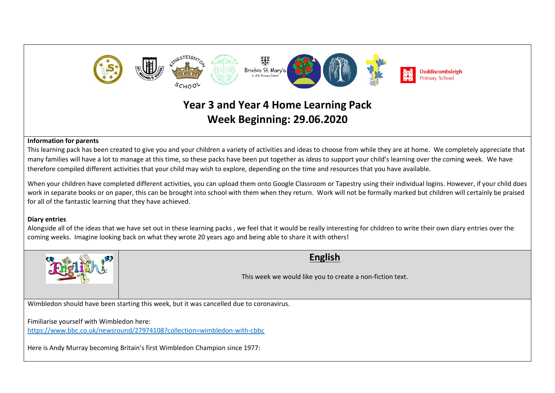

# **Year 3 and Year 4 Home Learning Pack Week Beginning: 29.06.2020**

#### **Information for parents**

This learning pack has been created to give you and your children a variety of activities and ideas to choose from while they are at home. We completely appreciate that many families will have a lot to manage at this time, so these packs have been put together as *ideas* to support your child's learning over the coming week. We have therefore compiled different activities that your child may wish to explore, depending on the time and resources that you have available.

When your children have completed different activities, you can upload them onto Google Classroom or Tapestry using their individual logins. However, if your child does work in separate books or on paper, this can be brought into school with them when they return. Work will not be formally marked but children will certainly be praised for all of the fantastic learning that they have achieved.

#### **Diary entries**

Alongside all of the ideas that we have set out in these learning packs , we feel that it would be really interesting for children to write their own diary entries over the coming weeks. Imagine looking back on what they wrote 20 years ago and being able to share it with others!



## **English**

This week we would like you to create a non-fiction text.

Wimbledon should have been starting this week, but it was cancelled due to coronavirus.

Fimiliarise yourself with Wimbledon here:

<https://www.bbc.co.uk/newsround/27974108?collection=wimbledon-with-cbbc>

Here is Andy Murray becoming Britain's first Wimbledon Champion since 1977: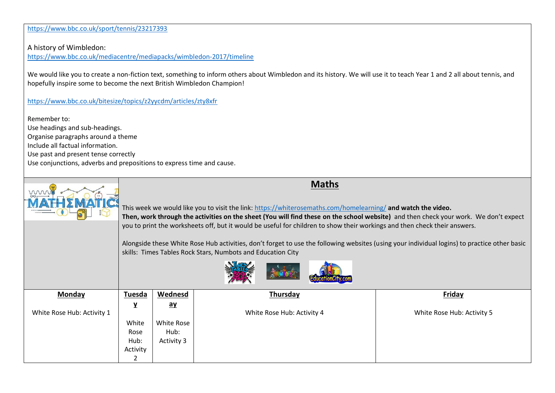<https://www.bbc.co.uk/sport/tennis/23217393>

A history of Wimbledon:

<https://www.bbc.co.uk/mediacentre/mediapacks/wimbledon-2017/timeline>

We would like you to create a non-fiction text, something to inform others about Wimbledon and its history. We will use it to teach Year 1 and 2 all about tennis, and hopefully inspire some to become the next British Wimbledon Champion!

<https://www.bbc.co.uk/bitesize/topics/z2yycdm/articles/zty8xfr>

Remember to: Use headings and sub-headings. Organise paragraphs around a theme Include all factual information. Use past and present tense correctly Use conjunctions, adverbs and prepositions to express time and cause.

| www                        | <b>Maths</b><br>This week we would like you to visit the link: https://whiterosemaths.com/homelearning/ and watch the video.<br>Then, work through the activities on the sheet (You will find these on the school website) and then check your work. We don't expect |                                                                                                                           |                            |                            |
|----------------------------|----------------------------------------------------------------------------------------------------------------------------------------------------------------------------------------------------------------------------------------------------------------------|---------------------------------------------------------------------------------------------------------------------------|----------------------------|----------------------------|
|                            |                                                                                                                                                                                                                                                                      | you to print the worksheets off, but it would be useful for children to show their workings and then check their answers. |                            |                            |
|                            | Alongside these White Rose Hub activities, don't forget to use the following websites (using your individual logins) to practice other basic<br>skills: Times Tables Rock Stars, Numbots and Education City                                                          |                                                                                                                           |                            |                            |
| Monday                     | <b>Tuesda</b>                                                                                                                                                                                                                                                        | Wednesd                                                                                                                   | Thursday                   | Friday                     |
|                            | Y                                                                                                                                                                                                                                                                    | $\mathbf{a}\mathbf{y}$                                                                                                    |                            |                            |
| White Rose Hub: Activity 1 |                                                                                                                                                                                                                                                                      |                                                                                                                           | White Rose Hub: Activity 4 | White Rose Hub: Activity 5 |
|                            | White                                                                                                                                                                                                                                                                | White Rose                                                                                                                |                            |                            |
|                            | Rose                                                                                                                                                                                                                                                                 | Hub:                                                                                                                      |                            |                            |
|                            | Hub:                                                                                                                                                                                                                                                                 | Activity 3                                                                                                                |                            |                            |
|                            | Activity                                                                                                                                                                                                                                                             |                                                                                                                           |                            |                            |
|                            | 2                                                                                                                                                                                                                                                                    |                                                                                                                           |                            |                            |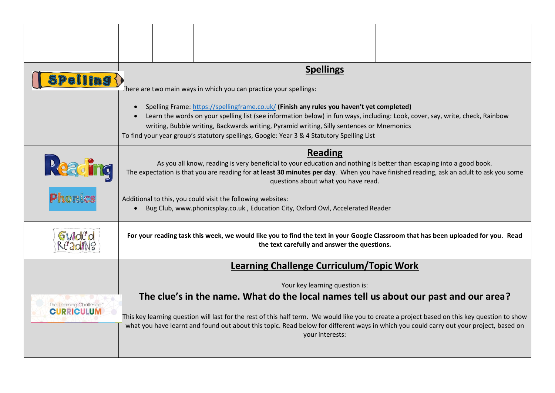| Spelling $\langle$                           | <b>Spellings</b><br>There are two main ways in which you can practice your spellings:                                                                                                                                                                                                                                                                                                                                                                                                |  |                                                                                                                                                                                                                                                                                                                                                                                                    |  |
|----------------------------------------------|--------------------------------------------------------------------------------------------------------------------------------------------------------------------------------------------------------------------------------------------------------------------------------------------------------------------------------------------------------------------------------------------------------------------------------------------------------------------------------------|--|----------------------------------------------------------------------------------------------------------------------------------------------------------------------------------------------------------------------------------------------------------------------------------------------------------------------------------------------------------------------------------------------------|--|
|                                              | Spelling Frame: https://spellingframe.co.uk/ (Finish any rules you haven't yet completed)<br>Learn the words on your spelling list (see information below) in fun ways, including: Look, cover, say, write, check, Rainbow<br>writing, Bubble writing, Backwards writing, Pyramid writing, Silly sentences or Mnemonics<br>To find your year group's statutory spellings, Google: Year 3 & 4 Statutory Spelling List                                                                 |  |                                                                                                                                                                                                                                                                                                                                                                                                    |  |
| Read<br>Tic                                  | <b>Reading</b><br>As you all know, reading is very beneficial to your education and nothing is better than escaping into a good book.<br>The expectation is that you are reading for at least 30 minutes per day. When you have finished reading, ask an adult to ask you some<br>questions about what you have read.<br>Additional to this, you could visit the following websites:<br>Bug Club, www.phonicsplay.co.uk, Education City, Oxford Owl, Accelerated Reader<br>$\bullet$ |  |                                                                                                                                                                                                                                                                                                                                                                                                    |  |
| Phonics                                      |                                                                                                                                                                                                                                                                                                                                                                                                                                                                                      |  |                                                                                                                                                                                                                                                                                                                                                                                                    |  |
| Guid                                         | For your reading task this week, we would like you to find the text in your Google Classroom that has been uploaded for you. Read<br>the text carefully and answer the questions.                                                                                                                                                                                                                                                                                                    |  |                                                                                                                                                                                                                                                                                                                                                                                                    |  |
|                                              | <b>Learning Challenge Curriculum/Topic Work</b>                                                                                                                                                                                                                                                                                                                                                                                                                                      |  |                                                                                                                                                                                                                                                                                                                                                                                                    |  |
|                                              | Your key learning question is:                                                                                                                                                                                                                                                                                                                                                                                                                                                       |  |                                                                                                                                                                                                                                                                                                                                                                                                    |  |
| The Learning Challenge"<br><b>CURRICULUM</b> |                                                                                                                                                                                                                                                                                                                                                                                                                                                                                      |  | The clue's in the name. What do the local names tell us about our past and our area?<br>This key learning question will last for the rest of this half term. We would like you to create a project based on this key question to show<br>what you have learnt and found out about this topic. Read below for different ways in which you could carry out your project, based on<br>your interests: |  |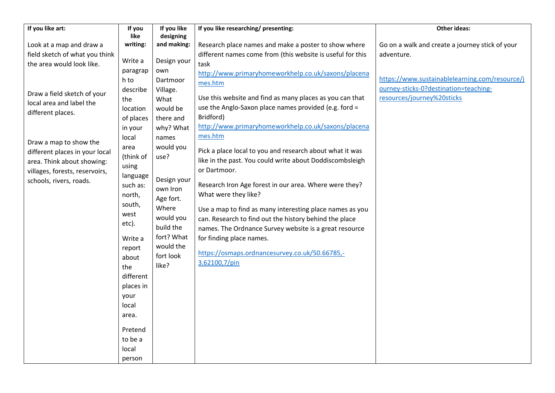| If you like art:               | If you    | If you like | If you like researching/ presenting:                       | <b>Other ideas:</b>                             |
|--------------------------------|-----------|-------------|------------------------------------------------------------|-------------------------------------------------|
|                                | like      | designing   |                                                            |                                                 |
| Look at a map and draw a       | writing:  | and making: | Research place names and make a poster to show where       | Go on a walk and create a journey stick of your |
| field sketch of what you think |           |             | different names come from (this website is useful for this | adventure.                                      |
| the area would look like.      | Write a   | Design your | task                                                       |                                                 |
|                                | paragrap  | own         | http://www.primaryhomeworkhelp.co.uk/saxons/placena        | https://www.sustainablelearning.com/resource/j  |
|                                | h to      | Dartmoor    | mes.htm                                                    | ourney-sticks-0?destination=teaching-           |
| Draw a field sketch of your    | describe  | Village.    | Use this website and find as many places as you can that   | resources/journey%20sticks                      |
| local area and label the       | the       | What        |                                                            |                                                 |
| different places.              | location  | would be    | use the Anglo-Saxon place names provided (e.g. ford =      |                                                 |
|                                | of places | there and   | Bridford)                                                  |                                                 |
|                                | in your   | why? What   | http://www.primaryhomeworkhelp.co.uk/saxons/placena        |                                                 |
| Draw a map to show the         | local     | names       | mes.htm                                                    |                                                 |
| different places in your local | area      | would you   | Pick a place local to you and research about what it was   |                                                 |
| area. Think about showing:     | (think of | use?        | like in the past. You could write about Doddiscombsleigh   |                                                 |
| villages, forests, reservoirs, | using     |             | or Dartmoor.                                               |                                                 |
| schools, rivers, roads.        | language  | Design your |                                                            |                                                 |
|                                | such as:  | own Iron    | Research Iron Age forest in our area. Where were they?     |                                                 |
|                                | north,    | Age fort.   | What were they like?                                       |                                                 |
|                                | south,    | Where       | Use a map to find as many interesting place names as you   |                                                 |
|                                | west      | would you   | can. Research to find out the history behind the place     |                                                 |
|                                | etc).     | build the   | names. The Ordnance Survey website is a great resource     |                                                 |
|                                | Write a   | fort? What  | for finding place names.                                   |                                                 |
|                                |           | would the   |                                                            |                                                 |
|                                | report    | fort look   | https://osmaps.ordnancesurvey.co.uk/50.66785,-             |                                                 |
|                                | about     | like?       | 3.62100,7/pin                                              |                                                 |
|                                | the       |             |                                                            |                                                 |
|                                | different |             |                                                            |                                                 |
|                                | places in |             |                                                            |                                                 |
|                                | your      |             |                                                            |                                                 |
|                                | local     |             |                                                            |                                                 |
|                                | area.     |             |                                                            |                                                 |
|                                | Pretend   |             |                                                            |                                                 |
|                                | to be a   |             |                                                            |                                                 |
|                                | local     |             |                                                            |                                                 |
|                                | person    |             |                                                            |                                                 |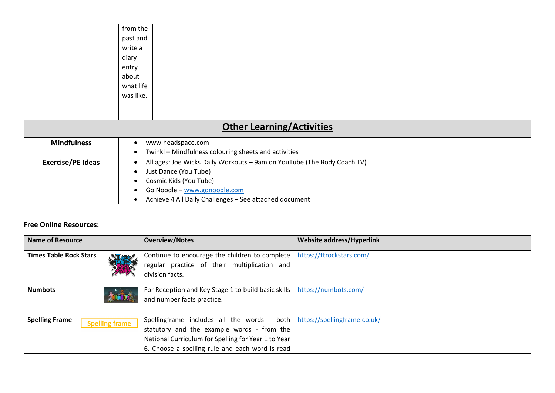|                                  | from the                                                                                              |  |  |  |
|----------------------------------|-------------------------------------------------------------------------------------------------------|--|--|--|
|                                  | past and                                                                                              |  |  |  |
|                                  | write a                                                                                               |  |  |  |
|                                  | diary                                                                                                 |  |  |  |
|                                  | entry                                                                                                 |  |  |  |
|                                  | about                                                                                                 |  |  |  |
|                                  | what life                                                                                             |  |  |  |
|                                  | was like.                                                                                             |  |  |  |
|                                  |                                                                                                       |  |  |  |
|                                  |                                                                                                       |  |  |  |
| <b>Other Learning/Activities</b> |                                                                                                       |  |  |  |
| <b>Mindfulness</b>               | www.headspace.com<br>$\bullet$                                                                        |  |  |  |
|                                  | Twinkl - Mindfulness colouring sheets and activities<br>$\bullet$                                     |  |  |  |
| <b>Exercise/PE Ideas</b>         | All ages: Joe Wicks Daily Workouts - 9am on YouTube (The Body Coach TV)<br>٠<br>Just Dance (You Tube) |  |  |  |
|                                  |                                                                                                       |  |  |  |
|                                  | Cosmic Kids (You Tube)                                                                                |  |  |  |
|                                  | Go Noodle - www.gonoodle.com                                                                          |  |  |  |
|                                  | Achieve 4 All Daily Challenges - See attached document                                                |  |  |  |

### **Free Online Resources:**

| <b>Name of Resource</b>                        | <b>Overview/Notes</b>                                                                                                                                                                                                              | Website address/Hyperlink |
|------------------------------------------------|------------------------------------------------------------------------------------------------------------------------------------------------------------------------------------------------------------------------------------|---------------------------|
| <b>Times Table Rock Stars</b><br>深             | Continue to encourage the children to complete  <br>regular practice of their multiplication and<br>division facts.                                                                                                                | https://ttrockstars.com/  |
| <b>Numbots</b>                                 | For Reception and Key Stage 1 to build basic skills  <br>and number facts practice.                                                                                                                                                | https://numbots.com/      |
| <b>Spelling Frame</b><br><b>Spelling frame</b> | Spellingframe includes all the words - both   https://spellingframe.co.uk/<br>statutory and the example words - from the<br>National Curriculum for Spelling for Year 1 to Year<br>6. Choose a spelling rule and each word is read |                           |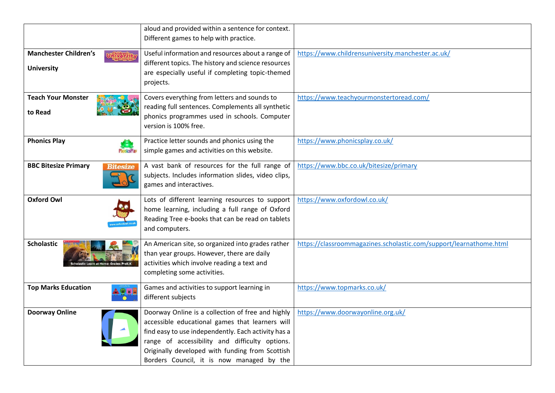|                              | aloud and provided within a sentence for context.   |                                                                    |
|------------------------------|-----------------------------------------------------|--------------------------------------------------------------------|
|                              | Different games to help with practice.              |                                                                    |
| <b>Manchester Children's</b> | Useful information and resources about a range of   | https://www.childrensuniversity.manchester.ac.uk/                  |
|                              | different topics. The history and science resources |                                                                    |
| <b>University</b>            | are especially useful if completing topic-themed    |                                                                    |
|                              | projects.                                           |                                                                    |
|                              |                                                     |                                                                    |
| <b>Teach Your Monster</b>    | Covers everything from letters and sounds to        | https://www.teachyourmonstertoread.com/                            |
| to Read                      | reading full sentences. Complements all synthetic   |                                                                    |
|                              | phonics programmes used in schools. Computer        |                                                                    |
|                              | version is 100% free.                               |                                                                    |
| <b>Phonics Play</b>          | Practice letter sounds and phonics using the        | https://www.phonicsplay.co.uk/                                     |
|                              | simple games and activities on this website.        |                                                                    |
| <b>BBC Bitesize Primary</b>  | A vast bank of resources for the full range of      | https://www.bbc.co.uk/bitesize/primary                             |
| Bitesize                     | subjects. Includes information slides, video clips, |                                                                    |
|                              | games and interactives.                             |                                                                    |
|                              |                                                     |                                                                    |
| <b>Oxford Owl</b>            | Lots of different learning resources to support     | https://www.oxfordowl.co.uk/                                       |
|                              | home learning, including a full range of Oxford     |                                                                    |
|                              | Reading Tree e-books that can be read on tablets    |                                                                    |
|                              | and computers.                                      |                                                                    |
| <b>Scholastic</b>            | An American site, so organized into grades rather   | https://classroommagazines.scholastic.com/support/learnathome.html |
|                              | than year groups. However, there are daily          |                                                                    |
|                              | activities which involve reading a text and         |                                                                    |
|                              | completing some activities.                         |                                                                    |
| <b>Top Marks Education</b>   | Games and activities to support learning in         | https://www.topmarks.co.uk/                                        |
|                              | different subjects                                  |                                                                    |
|                              |                                                     |                                                                    |
| <b>Doorway Online</b>        | Doorway Online is a collection of free and highly   | https://www.doorwayonline.org.uk/                                  |
|                              | accessible educational games that learners will     |                                                                    |
|                              | find easy to use independently. Each activity has a |                                                                    |
|                              | range of accessibility and difficulty options.      |                                                                    |
|                              | Originally developed with funding from Scottish     |                                                                    |
|                              | Borders Council, it is now managed by the           |                                                                    |